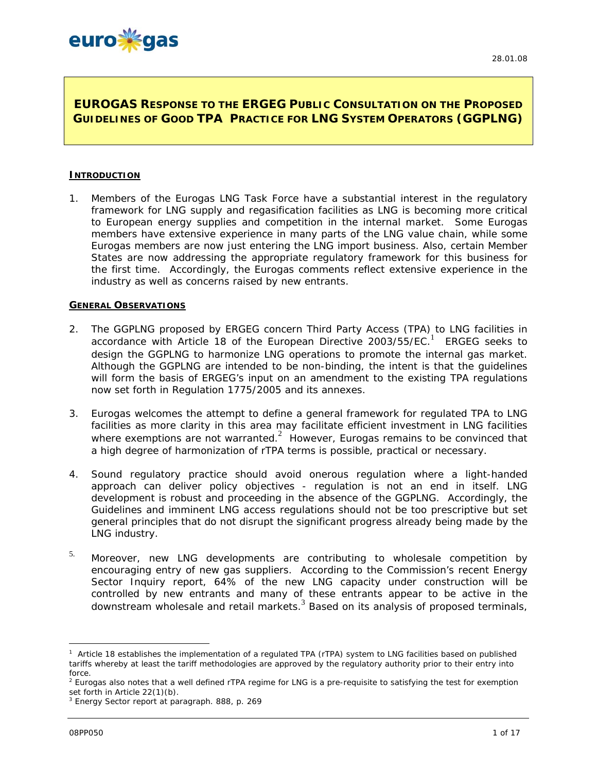# **EUROGAS RESPONSE TO THE ERGEG PUBLIC CONSULTATION ON THE PROPOSED GUIDELINES OF GOOD TPA PRACTICE FOR LNG SYSTEM OPERATORS (GGPLNG)**

#### **INTRODUCTION**

1. Members of the Eurogas LNG Task Force have a substantial interest in the regulatory framework for LNG supply and regasification facilities as LNG is becoming more critical to European energy supplies and competition in the internal market. Some Eurogas members have extensive experience in many parts of the LNG value chain, while some Eurogas members are now just entering the LNG import business. Also, certain Member States are now addressing the appropriate regulatory framework for this business for the first time. Accordingly, the Eurogas comments reflect extensive experience in the industry as well as concerns raised by new entrants.

# **GENERAL OBSERVATIONS**

- 2. The GGPLNG proposed by ERGEG concern Third Party Access (TPA) to LNG facilities in accordance with Article 18 of the European Directive 2003/55/EC.<sup>1</sup> ERGEG seeks to design the GGPLNG to harmonize LNG operations to promote the internal gas market. Although the GGPLNG are intended to be non-binding, the intent is that the guidelines will form the basis of ERGEG's input on an amendment to the existing TPA regulations now set forth in Regulation 1775/2005 and its annexes.
- 3. Eurogas welcomes the attempt to define a general framework for regulated TPA to LNG facilities as more clarity in this area may facilitate efficient investment in LNG facilities where exemptions are not warranted. $2$  However, Eurogas remains to be convinced that a high degree of harmonization of rTPA terms is possible, practical or necessary.
- 4. Sound regulatory practice should avoid onerous regulation where a light-handed approach can deliver policy objectives - regulation is not an end in itself. LNG development is robust and proceeding in the absence of the GGPLNG. Accordingly, the Guidelines and imminent LNG access regulations should not be too prescriptive but set general principles that do not disrupt the significant progress already being made by the LNG industry.
- $5.$  Moreover, new LNG developments are contributing to wholesale competition by encouraging entry of new gas suppliers. According to the Commission's recent Energy Sector Inquiry report, 64% of the new LNG capacity under construction will be controlled by new entrants and many of these entrants appear to be active in the downstream wholesale and retail markets.<sup>3</sup> Based on its analysis of proposed terminals,

<sup>1</sup> Article 18 establishes the implementation of a regulated TPA (rTPA) system to LNG facilities based on published tariffs whereby at least the tariff methodologies are approved by the regulatory authority prior to their entry into force.

 $^2$  Eurogas also notes that a well defined rTPA regime for LNG is a pre-requisite to satisfying the test for exemption set forth in Article 22(1)(b).

<sup>&</sup>lt;sup>3</sup> Energy Sector report at paragraph. 888, p. 269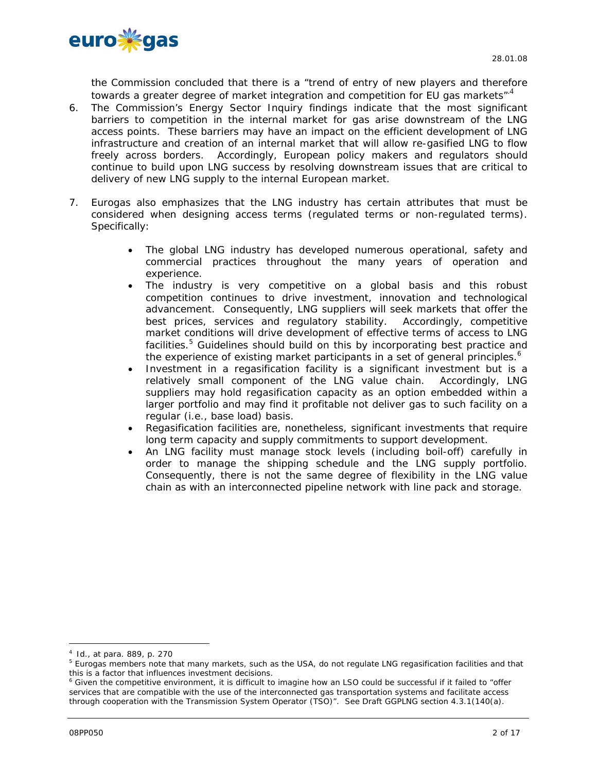

the Commission concluded that there is a "trend of entry of new players and therefore towards a greater degree of market integration and competition for EU gas markets"<sup>4</sup>

- 6. The Commission's Energy Sector Inquiry findings indicate that the most significant barriers to competition in the internal market for gas arise downstream of the LNG access points. These barriers may have an impact on the efficient development of LNG infrastructure and creation of an internal market that will allow re-gasified LNG to flow freely across borders. Accordingly, European policy makers and regulators should continue to build upon LNG success by resolving downstream issues that are critical to delivery of new LNG supply to the internal European market.
- 7. Eurogas also emphasizes that the LNG industry has certain attributes that must be considered when designing access terms (regulated terms or non-regulated terms). Specifically:
	- The global LNG industry has developed numerous operational, safety and commercial practices throughout the many years of operation and experience.
	- The industry is very competitive on a global basis and this robust competition continues to drive investment, innovation and technological advancement. Consequently, LNG suppliers will seek markets that offer the best prices, services and regulatory stability. Accordingly, competitive market conditions will drive development of effective terms of access to LNG facilities.<sup>5</sup> Guidelines should build on this by incorporating best practice and the experience of existing market participants in a set of general principles.<sup>6</sup>
	- Investment in a regasification facility is a significant investment but is a relatively small component of the LNG value chain. Accordingly, LNG suppliers may hold regasification capacity as an option embedded within a larger portfolio and may find it profitable not deliver gas to such facility on a regular (i.e., base load) basis.
	- Regasification facilities are, nonetheless, significant investments that require long term capacity and supply commitments to support development.
	- An LNG facility must manage stock levels (including boil-off) carefully in order to manage the shipping schedule and the LNG supply portfolio. Consequently, there is not the same degree of flexibility in the LNG value chain as with an interconnected pipeline network with line pack and storage.

<sup>4</sup> Id., at para. 889, p. 270

<sup>&</sup>lt;sup>5</sup> Eurogas members note that many markets, such as the USA, do not regulate LNG regasification facilities and that this is a factor that influences investment decisions.

<sup>&</sup>lt;sup>6</sup> Given the competitive environment, it is difficult to imagine how an LSO could be successful if it failed to "offer services that are compatible with the use of the interconnected gas transportation systems and facilitate access through cooperation with the Transmission System Operator (TSO)". See Draft GGPLNG section 4.3.1(140(a).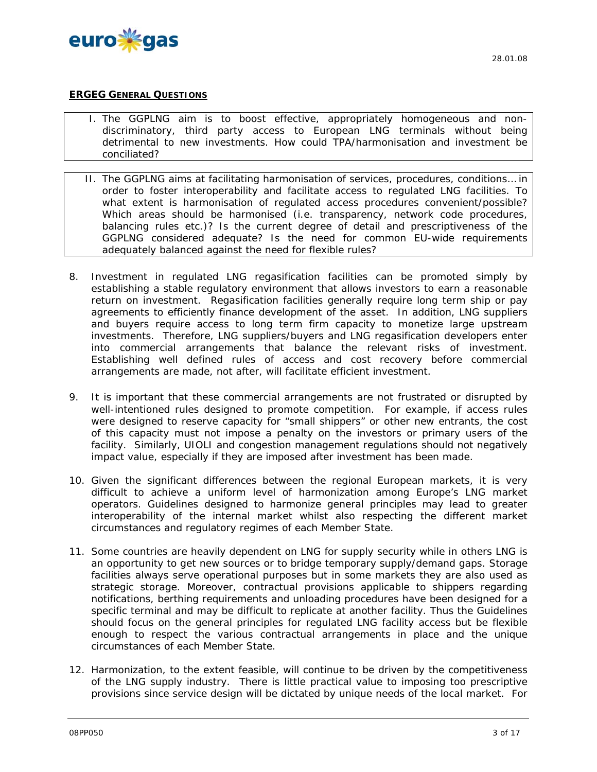

# **ERGEG GENERAL QUESTIONS**

- I. The GGPLNG aim is to boost effective, appropriately homogeneous and nondiscriminatory, third party access to European LNG terminals without being detrimental to new investments. How could TPA/harmonisation and investment be conciliated?
- II. The GGPLNG aims at facilitating harmonisation of services, procedures, conditions… in order to foster interoperability and facilitate access to regulated LNG facilities. To what extent is harmonisation of regulated access procedures convenient/possible? Which areas should be harmonised (i.e. transparency, network code procedures, balancing rules etc.)? Is the current degree of detail and prescriptiveness of the GGPLNG considered adequate? Is the need for common EU-wide requirements adequately balanced against the need for flexible rules?
- 8. Investment in regulated LNG regasification facilities can be promoted simply by establishing a stable regulatory environment that allows investors to earn a reasonable return on investment. Regasification facilities generally require long term ship or pay agreements to efficiently finance development of the asset. In addition, LNG suppliers and buyers require access to long term firm capacity to monetize large upstream investments. Therefore, LNG suppliers/buyers and LNG regasification developers enter into commercial arrangements that balance the relevant risks of investment. Establishing well defined rules of access and cost recovery *before commercial arrangements are made, not after,* will facilitate efficient investment.
- 9. It is important that these commercial arrangements are not frustrated or disrupted by well-intentioned rules designed to promote competition. For example, if access rules were designed to reserve capacity for "small shippers" or other new entrants, the cost of this capacity must not impose a penalty on the investors or primary users of the facility. Similarly, UIOLI and congestion management regulations should not negatively impact value, especially if they are imposed after investment has been made.
- 10. Given the significant differences between the regional European markets, it is very difficult to achieve a uniform level of harmonization among Europe's LNG market operators. Guidelines designed to harmonize general principles may lead to greater interoperability of the internal market whilst also respecting the different market circumstances and regulatory regimes of each Member State.
- 11. Some countries are heavily dependent on LNG for supply security while in others LNG is an opportunity to get new sources or to bridge temporary supply/demand gaps. Storage facilities always serve operational purposes but in some markets they are also used as strategic storage. Moreover, contractual provisions applicable to shippers regarding notifications, berthing requirements and unloading procedures have been designed for a specific terminal and may be difficult to replicate at another facility. Thus the Guidelines should focus on the general principles for regulated LNG facility access but be flexible enough to respect the various contractual arrangements in place and the unique circumstances of each Member State.
- 12. Harmonization, to the extent feasible, will continue to be driven by the competitiveness of the LNG supply industry. There is little practical value to imposing too prescriptive provisions since service design will be dictated by unique needs of the local market. For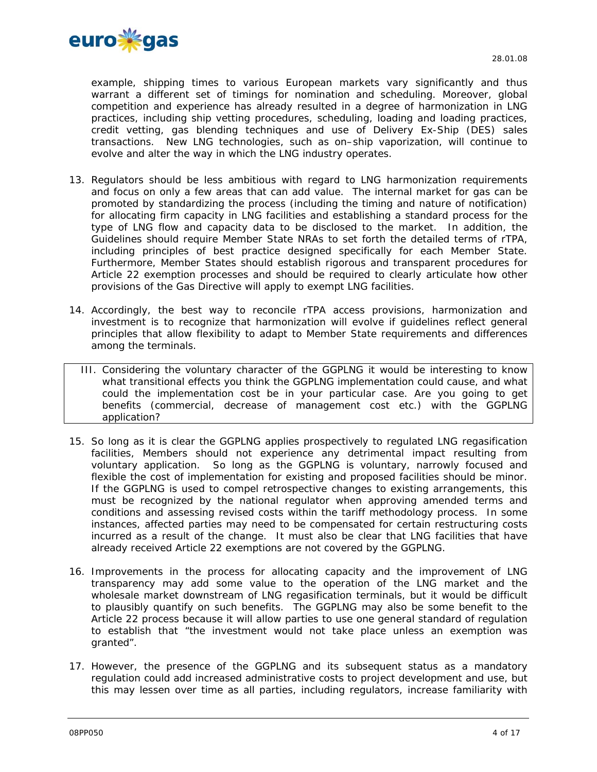

example, shipping times to various European markets vary significantly and thus warrant a different set of timings for nomination and scheduling. Moreover, global competition and experience has already resulted in a degree of harmonization in LNG practices, including ship vetting procedures, scheduling, loading and loading practices, credit vetting, gas blending techniques and use of Delivery Ex-Ship (DES) sales transactions. New LNG technologies, such as on–ship vaporization, will continue to evolve and alter the way in which the LNG industry operates.

- 13. Regulators should be less ambitious with regard to LNG harmonization requirements and focus on only a few areas that can add value. The internal market for gas can be promoted by standardizing the process (including the timing and nature of notification) for allocating firm capacity in LNG facilities and establishing a standard process for the type of LNG flow and capacity data to be disclosed to the market. In addition, the Guidelines should require Member State NRAs to set forth the detailed terms of rTPA, including principles of best practice designed specifically for each Member State. Furthermore, Member States should establish rigorous and transparent procedures for Article 22 exemption processes and should be required to clearly articulate how other provisions of the Gas Directive will apply to exempt LNG facilities.
- 14. Accordingly, the best way to reconcile rTPA access provisions, harmonization and investment is to recognize that harmonization will evolve if guidelines reflect general principles that allow flexibility to adapt to Member State requirements and differences among the terminals.
	- III. Considering the voluntary character of the GGPLNG it would be interesting to know what transitional effects you think the GGPLNG implementation could cause, and what could the implementation cost be in your particular case. Are you going to get benefits (commercial, decrease of management cost etc.) with the GGPLNG application?
- 15. So long as it is clear the GGPLNG applies prospectively to regulated LNG regasification facilities, Members should not experience any detrimental impact resulting from voluntary application. So long as the GGPLNG is voluntary, narrowly focused and flexible the cost of implementation for existing and proposed facilities should be minor. If the GGPLNG is used to compel retrospective changes to existing arrangements, this must be recognized by the national regulator when approving amended terms and conditions and assessing revised costs within the tariff methodology process. In some instances, affected parties may need to be compensated for certain restructuring costs incurred as a result of the change. It must also be clear that LNG facilities that have already received Article 22 exemptions are not covered by the GGPLNG.
- 16. Improvements in the process for allocating capacity and the improvement of LNG transparency may add some value to the operation of the LNG market and the wholesale market downstream of LNG regasification terminals, but it would be difficult to plausibly quantify on such benefits. The GGPLNG may also be some benefit to the Article 22 process because it will allow parties to use one general standard of regulation to establish that "the investment would not take place unless an exemption was granted".
- 17. However, the presence of the GGPLNG and its subsequent status as a mandatory regulation could add increased administrative costs to project development and use, but this may lessen over time as all parties, including regulators, increase familiarity with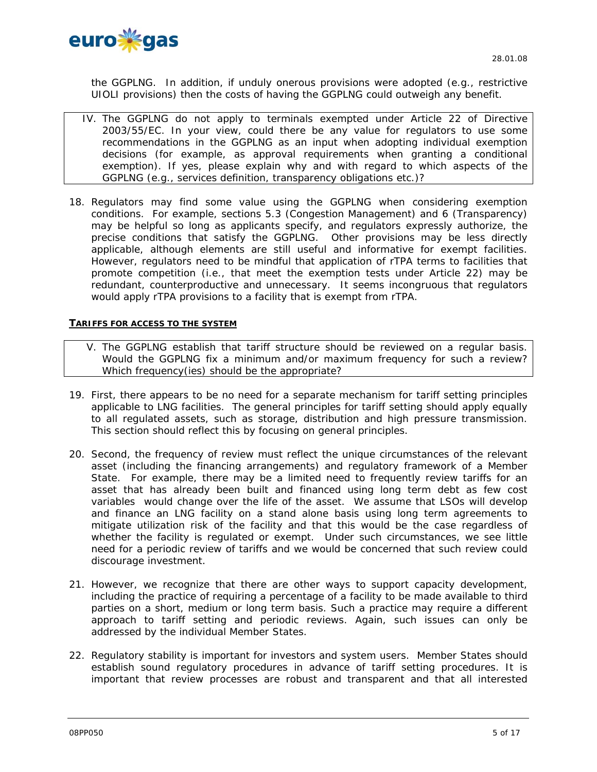

the GGPLNG. In addition, if unduly onerous provisions were adopted (e.g., restrictive UIOLI provisions) then the costs of having the GGPLNG could outweigh any benefit.

- IV. The GGPLNG do not apply to terminals exempted under Article 22 of Directive 2003/55/EC. In your view, could there be any value for regulators to use some recommendations in the GGPLNG as an input when adopting individual exemption decisions (for example, as approval requirements when granting a conditional exemption). If yes, please explain why and with regard to which aspects of the GGPLNG (e.g., services definition, transparency obligations etc.)?
- 18. Regulators may find some value using the GGPLNG when considering exemption conditions. For example, sections 5.3 (Congestion Management) and 6 (Transparency) may be helpful so long as applicants specify, and regulators expressly authorize, the precise conditions that satisfy the GGPLNG. Other provisions may be less directly applicable, although elements are still useful and informative for exempt facilities. However, regulators need to be mindful that application of rTPA terms to facilities that promote competition (i.e., that meet the exemption tests under Article 22) may be redundant, counterproductive and unnecessary. It seems incongruous that regulators would apply rTPA provisions to a facility that is exempt from rTPA.

#### **TARIFFS FOR ACCESS TO THE SYSTEM**

- V. The GGPLNG establish that tariff structure should be reviewed on a regular basis. Would the GGPLNG fix a minimum and/or maximum frequency for such a review? Which frequency(ies) should be the appropriate?
- 19. First, there appears to be no need for a separate mechanism for tariff setting principles applicable to LNG facilities. The general principles for tariff setting should apply equally to all regulated assets, such as storage, distribution and high pressure transmission. This section should reflect this by focusing on general principles.
- 20. Second, the frequency of review must reflect the unique circumstances of the relevant asset (including the financing arrangements) and regulatory framework of a Member State. For example, there may be a limited need to frequently review tariffs for an asset that has already been built and financed using long term debt as few cost variables would change over the life of the asset. We assume that LSOs will develop and finance an LNG facility on a stand alone basis using long term agreements to mitigate utilization risk of the facility and that this would be the case regardless of whether the facility is regulated or exempt. Under such circumstances, we see little need for a periodic review of tariffs and we would be concerned that such review could discourage investment.
- 21. However, we recognize that there are other ways to support capacity development, including the practice of requiring a percentage of a facility to be made available to third parties on a short, medium or long term basis. Such a practice may require a different approach to tariff setting and periodic reviews. Again, such issues can only be addressed by the individual Member States.
- 22. Regulatory stability is important for investors and system users. Member States should establish sound regulatory procedures in advance of tariff setting procedures. It is important that review processes are robust and transparent and that all interested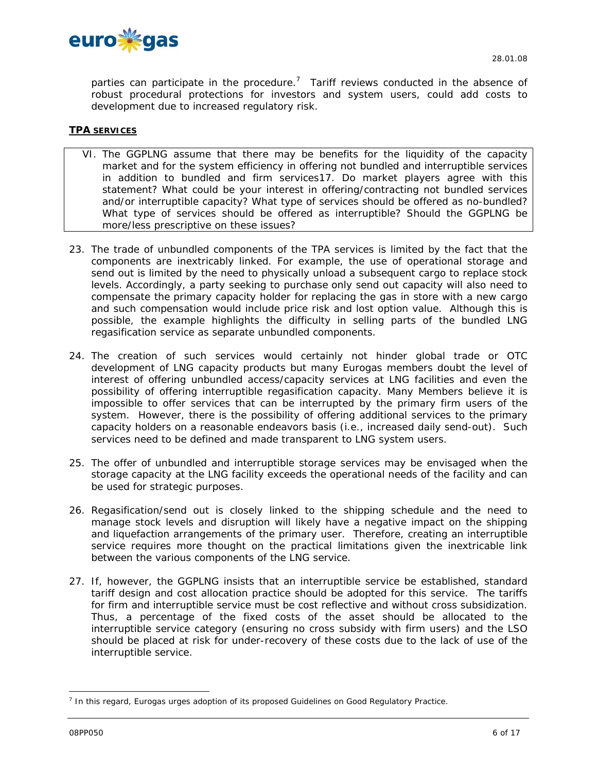

parties can participate in the procedure.<sup>7</sup> Tariff reviews conducted in the absence of robust procedural protections for investors and system users, could add costs to development due to increased regulatory risk.

# **TPA SERVICES**

- VI. The GGPLNG assume that there may be benefits for the liquidity of the capacity market and for the system efficiency in offering not bundled and interruptible services in addition to bundled and firm services17. Do market players agree with this statement? What could be your interest in offering/contracting not bundled services and/or interruptible capacity? What type of services should be offered as no-bundled? What type of services should be offered as interruptible? Should the GGPLNG be more/less prescriptive on these issues?
- 23. The trade of unbundled components of the TPA services is limited by the fact that the components are inextricably linked. For example, the use of operational storage and send out is limited by the need to physically unload a subsequent cargo to replace stock levels. Accordingly, a party seeking to purchase only send out capacity will also need to compensate the primary capacity holder for replacing the gas in store with a new cargo and such compensation would include price risk and lost option value. Although this is possible, the example highlights the difficulty in selling parts of the bundled LNG regasification service as separate unbundled components.
- 24. The creation of such services would certainly not hinder global trade or OTC development of LNG capacity products but many Eurogas members doubt the level of interest of offering unbundled access/capacity services at LNG facilities and even the possibility of offering interruptible regasification capacity. Many Members believe it is impossible to offer services that can be interrupted by the primary firm users of the system. However, there is the possibility of offering additional services to the primary capacity holders on a reasonable endeavors basis (i.e., increased daily send-out). Such services need to be defined and made transparent to LNG system users.
- 25. The offer of unbundled and interruptible storage services may be envisaged when the storage capacity at the LNG facility exceeds the operational needs of the facility and can be used for strategic purposes.
- 26. Regasification/send out is closely linked to the shipping schedule and the need to manage stock levels and disruption will likely have a negative impact on the shipping and liquefaction arrangements of the primary user. Therefore, creating an interruptible service requires more thought on the practical limitations given the inextricable link between the various components of the LNG service.
- 27. If, however, the GGPLNG insists that an interruptible service be established, standard tariff design and cost allocation practice should be adopted for this service. The tariffs for firm and interruptible service must be cost reflective and without cross subsidization. Thus, a percentage of the fixed costs of the asset should be allocated to the interruptible service category (ensuring no cross subsidy with firm users) and the LSO should be placed at risk for under-recovery of these costs due to the lack of use of the interruptible service.

<sup>&</sup>lt;sup>7</sup> In this regard, Eurogas urges adoption of its proposed Guidelines on Good Regulatory Practice.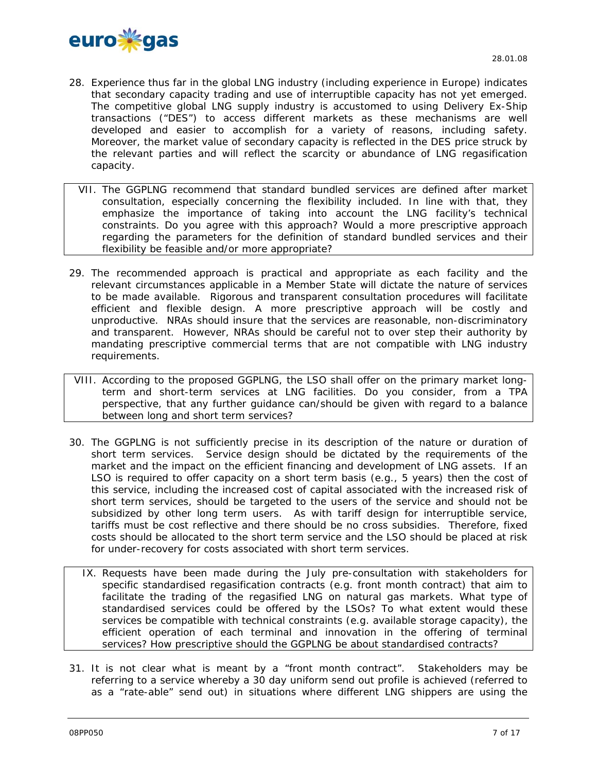

- 28. Experience thus far in the global LNG industry (including experience in Europe) indicates that secondary capacity trading and use of interruptible capacity has not yet emerged. The competitive global LNG supply industry is accustomed to using Delivery Ex-Ship transactions ("DES") to access different markets as these mechanisms are well developed and easier to accomplish for a variety of reasons, including safety. Moreover, the market value of secondary capacity is reflected in the DES price struck by the relevant parties and will reflect the scarcity or abundance of LNG regasification capacity.
- VII. The GGPLNG recommend that standard bundled services are defined after market consultation, especially concerning the flexibility included. In line with that, they emphasize the importance of taking into account the LNG facility's technical constraints. Do you agree with this approach? Would a more prescriptive approach regarding the parameters for the definition of standard bundled services and their flexibility be feasible and/or more appropriate?
- 29. The recommended approach is practical and appropriate as each facility and the relevant circumstances applicable in a Member State will dictate the nature of services to be made available. Rigorous and transparent consultation procedures will facilitate efficient and flexible design. A more prescriptive approach will be costly and unproductive. NRAs should insure that the services are reasonable, non-discriminatory and transparent. However, NRAs should be careful not to over step their authority by mandating prescriptive commercial terms that are not compatible with LNG industry requirements.
- VIII. According to the proposed GGPLNG, the LSO shall offer on the primary market longterm and short-term services at LNG facilities. Do you consider, from a TPA perspective, that any further guidance can/should be given with regard to a balance between long and short term services?
- 30. The GGPLNG is not sufficiently precise in its description of the nature or duration of short term services. Service design should be dictated by the requirements of the market and the impact on the efficient financing and development of LNG assets. If an LSO is required to offer capacity on a short term basis (e.g., 5 years) then the cost of this service, including the increased cost of capital associated with the increased risk of short term services, should be targeted to the users of the service and should not be subsidized by other long term users. As with tariff design for interruptible service, tariffs must be cost reflective and there should be no cross subsidies. Therefore, fixed costs should be allocated to the short term service and the LSO should be placed at risk for under-recovery for costs associated with short term services.
	- IX. Requests have been made during the July pre-consultation with stakeholders for specific standardised regasification contracts (e.g. front month contract) that aim to facilitate the trading of the regasified LNG on natural gas markets. What type of standardised services could be offered by the LSOs? To what extent would these services be compatible with technical constraints (e.g. available storage capacity), the efficient operation of each terminal and innovation in the offering of terminal services? How prescriptive should the GGPLNG be about standardised contracts?
- 31. It is not clear what is meant by a "front month contract". Stakeholders may be referring to a service whereby a 30 day uniform send out profile is achieved (referred to as a "rate-able" send out) in situations where different LNG shippers are using the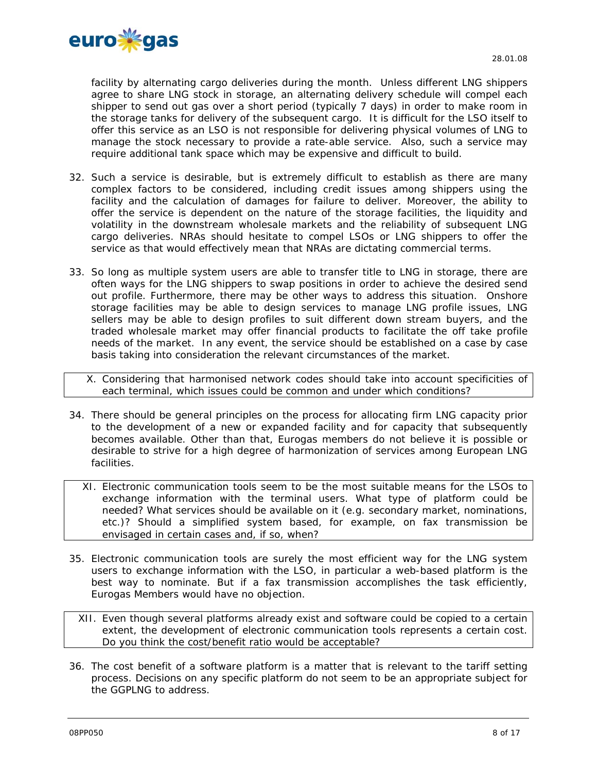

facility by alternating cargo deliveries during the month. Unless different LNG shippers agree to share LNG stock in storage, an alternating delivery schedule will compel each shipper to send out gas over a short period (typically 7 days) in order to make room in the storage tanks for delivery of the subsequent cargo. It is difficult for the LSO itself to offer this service as an LSO is not responsible for delivering physical volumes of LNG to manage the stock necessary to provide a rate-able service. Also, such a service may require additional tank space which may be expensive and difficult to build.

- 32. Such a service is desirable, but is extremely difficult to establish as there are many complex factors to be considered, including credit issues among shippers using the facility and the calculation of damages for failure to deliver. Moreover, the ability to offer the service is dependent on the nature of the storage facilities, the liquidity and volatility in the downstream wholesale markets and the reliability of subsequent LNG cargo deliveries. NRAs should hesitate to compel LSOs or LNG shippers to offer the service as that would effectively mean that NRAs are dictating commercial terms.
- 33. So long as multiple system users are able to transfer title to LNG in storage, there are often ways for the LNG shippers to swap positions in order to achieve the desired send out profile. Furthermore, there may be other ways to address this situation. Onshore storage facilities may be able to design services to manage LNG profile issues, LNG sellers may be able to design profiles to suit different down stream buyers, and the traded wholesale market may offer financial products to facilitate the off take profile needs of the market. In any event, the service should be established on a case by case basis taking into consideration the relevant circumstances of the market.

X. Considering that harmonised network codes should take into account specificities of each terminal, which issues could be common and under which conditions?

- *34.* There should be general principles on the process for allocating firm LNG capacity prior to the development of a new or expanded facility and for capacity that subsequently becomes available. Other than that, Eurogas members do not believe it is possible or desirable to strive for a high degree of harmonization of services among European LNG facilities.
	- XI. Electronic communication tools seem to be the most suitable means for the LSOs to exchange information with the terminal users. What type of platform could be needed? What services should be available on it (e.g. secondary market, nominations, etc.)? Should a simplified system based, for example, on fax transmission be envisaged in certain cases and, if so, when?
- 35. Electronic communication tools are surely the most efficient way for the LNG system users to exchange information with the LSO, in particular a web-based platform is the best way to nominate. But if a fax transmission accomplishes the task efficiently, Eurogas Members would have no objection.

XII. Even though several platforms already exist and software could be copied to a certain extent, the development of electronic communication tools represents a certain cost. Do you think the cost/benefit ratio would be acceptable?

36. The cost benefit of a software platform is a matter that is relevant to the tariff setting process. Decisions on any specific platform do not seem to be an appropriate subject for the GGPLNG to address.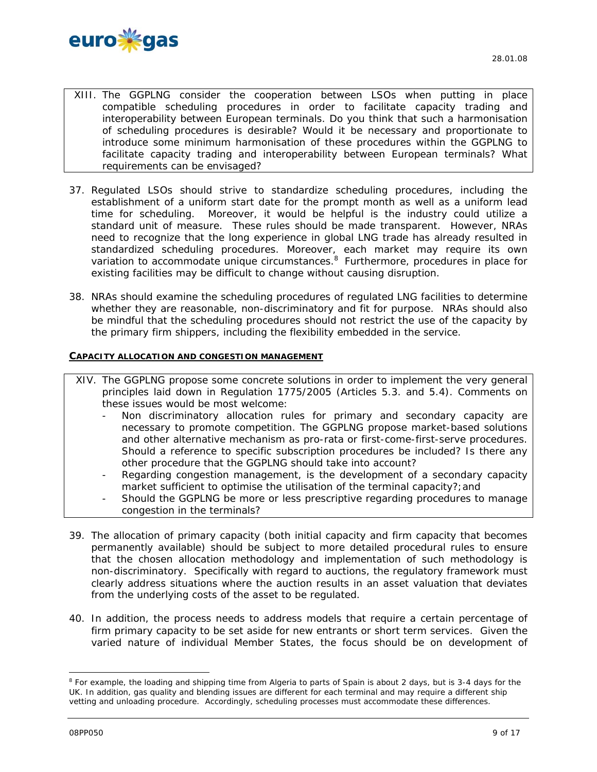

- XIII. The GGPLNG consider the cooperation between LSOs when putting in place compatible scheduling procedures in order to facilitate capacity trading and interoperability between European terminals. Do you think that such a harmonisation of scheduling procedures is desirable? Would it be necessary and proportionate to introduce some minimum harmonisation of these procedures within the GGPLNG to facilitate capacity trading and interoperability between European terminals? What requirements can be envisaged?
- 37. Regulated LSOs should strive to standardize scheduling procedures, including the establishment of a uniform start date for the prompt month as well as a uniform lead time for scheduling. Moreover, it would be helpful is the industry could utilize a standard unit of measure. These rules should be made transparent. However, NRAs need to recognize that the long experience in global LNG trade has already resulted in standardized scheduling procedures. Moreover, each market may require its own variation to accommodate unique circumstances.<sup>8</sup> Furthermore, procedures in place for existing facilities may be difficult to change without causing disruption.
- 38. NRAs should examine the scheduling procedures of regulated LNG facilities to determine whether they are reasonable, non-discriminatory and fit for purpose. NRAs should also be mindful that the scheduling procedures should not restrict the use of the capacity by the primary firm shippers, including the flexibility embedded in the service.

# **CAPACITY ALLOCATION AND CONGESTION MANAGEMENT**

- XIV. The GGPLNG propose some concrete solutions in order to implement the very general principles laid down in Regulation 1775/2005 (Articles 5.3. and 5.4). Comments on these issues would be most welcome:
	- Non discriminatory allocation rules for primary and secondary capacity are necessary to promote competition. The GGPLNG propose market-based solutions and other alternative mechanism as pro-rata or first-come-first-serve procedures. Should a reference to specific subscription procedures be included? Is there any other procedure that the GGPLNG should take into account?
	- Regarding congestion management, is the development of a secondary capacity market sufficient to optimise the utilisation of the terminal capacity?; and
	- Should the GGPLNG be more or less prescriptive regarding procedures to manage congestion in the terminals?
- 39. The allocation of primary capacity (both initial capacity and firm capacity that becomes permanently available) should be subject to more detailed procedural rules to ensure that the chosen allocation methodology and implementation of such methodology is non-discriminatory. Specifically with regard to auctions, the regulatory framework must clearly address situations where the auction results in an asset valuation that deviates from the underlying costs of the asset to be regulated.
- 40. In addition, the process needs to address models that require a certain percentage of firm primary capacity to be set aside for new entrants or short term services. Given the varied nature of individual Member States, the focus should be on development of

<sup>&</sup>lt;sup>8</sup> For example, the loading and shipping time from Algeria to parts of Spain is about 2 days, but is 3-4 days for the UK. In addition, gas quality and blending issues are different for each terminal and may require a different ship vetting and unloading procedure. Accordingly, scheduling processes must accommodate these differences.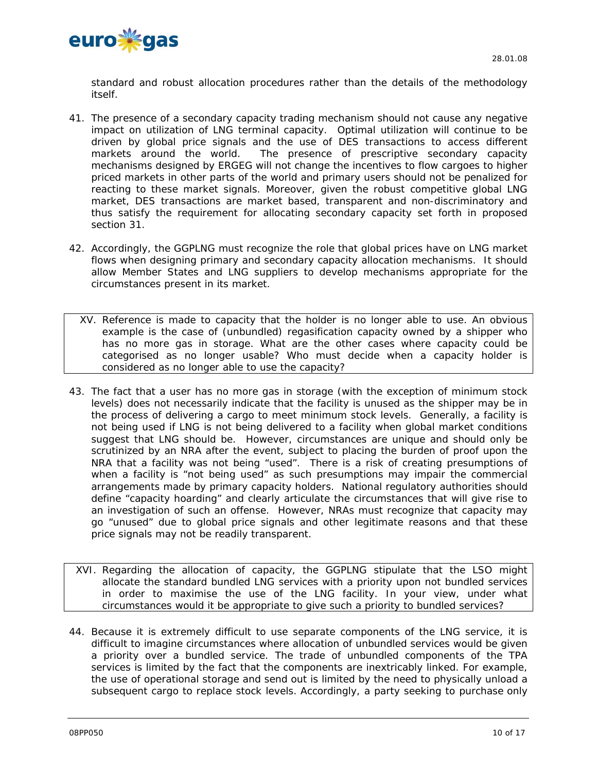

standard and robust allocation procedures rather than the details of the methodology itself.

- 41. The presence of a secondary capacity trading mechanism should not cause any negative impact on utilization of LNG terminal capacity. Optimal utilization will continue to be driven by global price signals and the use of DES transactions to access different markets around the world. The presence of prescriptive secondary capacity mechanisms designed by ERGEG will not change the incentives to flow cargoes to higher priced markets in other parts of the world and primary users should not be penalized for reacting to these market signals. Moreover, given the robust competitive global LNG market, DES transactions are market based, transparent and non-discriminatory and thus satisfy the requirement for allocating secondary capacity set forth in proposed section 31.
- 42. Accordingly, the GGPLNG must recognize the role that global prices have on LNG market flows when designing primary and secondary capacity allocation mechanisms. It should allow Member States and LNG suppliers to develop mechanisms appropriate for the circumstances present in its market.
	- XV. Reference is made to capacity that the holder is no longer able to use. An obvious example is the case of (unbundled) regasification capacity owned by a shipper who has no more gas in storage. What are the other cases where capacity could be categorised as no longer usable? Who must decide when a capacity holder is considered as no longer able to use the capacity?
- 43. The fact that a user has no more gas in storage (with the exception of minimum stock levels) does not necessarily indicate that the facility is unused as the shipper may be in the process of delivering a cargo to meet minimum stock levels. Generally, a facility is not being used if LNG is not being delivered to a facility when global market conditions suggest that LNG should be. However, circumstances are unique and should only be scrutinized by an NRA after the event, subject to placing the burden of proof upon the NRA that a facility was not being "used". There is a risk of creating presumptions of when a facility is "not being used" as such presumptions may impair the commercial arrangements made by primary capacity holders. National regulatory authorities should define "capacity hoarding" and clearly articulate the circumstances that will give rise to an investigation of such an offense. However, NRAs must recognize that capacity may go "unused" due to global price signals and other legitimate reasons and that these price signals may not be readily transparent.
- XVI. Regarding the allocation of capacity, the GGPLNG stipulate that the LSO might allocate the standard bundled LNG services with a priority upon not bundled services in order to maximise the use of the LNG facility. In your view, under what circumstances would it be appropriate to give such a priority to bundled services?
- 44. Because it is extremely difficult to use separate components of the LNG service, it is difficult to imagine circumstances where allocation of unbundled services would be given a priority over a bundled service. The trade of unbundled components of the TPA services is limited by the fact that the components are inextricably linked. For example, the use of operational storage and send out is limited by the need to physically unload a subsequent cargo to replace stock levels. Accordingly, a party seeking to purchase only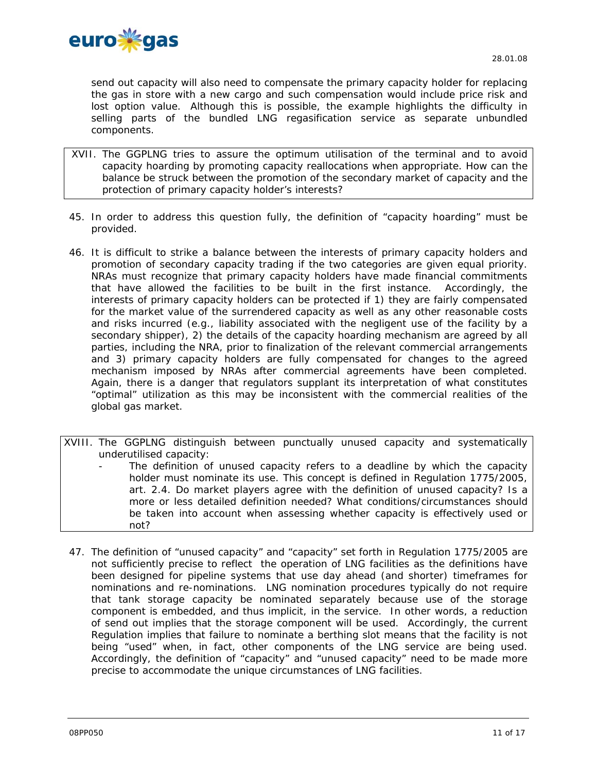

send out capacity will also need to compensate the primary capacity holder for replacing the gas in store with a new cargo and such compensation would include price risk and lost option value. Although this is possible, the example highlights the difficulty in selling parts of the bundled LNG regasification service as separate unbundled components.

- XVII. The GGPLNG tries to assure the optimum utilisation of the terminal and to avoid capacity hoarding by promoting capacity reallocations when appropriate. How can the balance be struck between the promotion of the secondary market of capacity and the protection of primary capacity holder's interests?
- 45. In order to address this question fully, the definition of "capacity hoarding" must be provided.
- 46. It is difficult to strike a balance between the interests of primary capacity holders and promotion of secondary capacity trading if the two categories are given equal priority. NRAs must recognize that primary capacity holders have made financial commitments that have allowed the facilities to be built in the first instance. Accordingly, the interests of primary capacity holders can be protected if 1) they are fairly compensated for the market value of the surrendered capacity as well as any other reasonable costs and risks incurred (e.g., liability associated with the negligent use of the facility by a secondary shipper), 2) the details of the capacity hoarding mechanism are agreed by all parties, including the NRA, prior to finalization of the relevant commercial arrangements and 3) primary capacity holders are fully compensated for changes to the agreed mechanism imposed by NRAs after commercial agreements have been completed. Again, there is a danger that regulators supplant its interpretation of what constitutes "optimal" utilization as this may be inconsistent with the commercial realities of the global gas market.

XVIII. The GGPLNG distinguish between punctually unused capacity and systematically underutilised capacity:

- The definition of unused capacity refers to a deadline by which the capacity holder must nominate its use. This concept is defined in Regulation 1775/2005, art. 2.4. Do market players agree with the definition of unused capacity? Is a more or less detailed definition needed? What conditions/circumstances should be taken into account when assessing whether capacity is effectively used or not?
- 47. The definition of "unused capacity" and "capacity" set forth in Regulation 1775/2005 are not sufficiently precise to reflect the operation of LNG facilities as the definitions have been designed for pipeline systems that use day ahead (and shorter) timeframes for nominations and re-nominations. LNG nomination procedures typically do not require that tank storage capacity be nominated separately because use of the storage component is embedded, and thus implicit, in the service. In other words, a reduction of send out implies that the storage component will be used. Accordingly, the current Regulation implies that failure to nominate a berthing slot means that the facility is not being "used" when, in fact, other components of the LNG service are being used. Accordingly, the definition of "capacity" and "unused capacity" need to be made more precise to accommodate the unique circumstances of LNG facilities.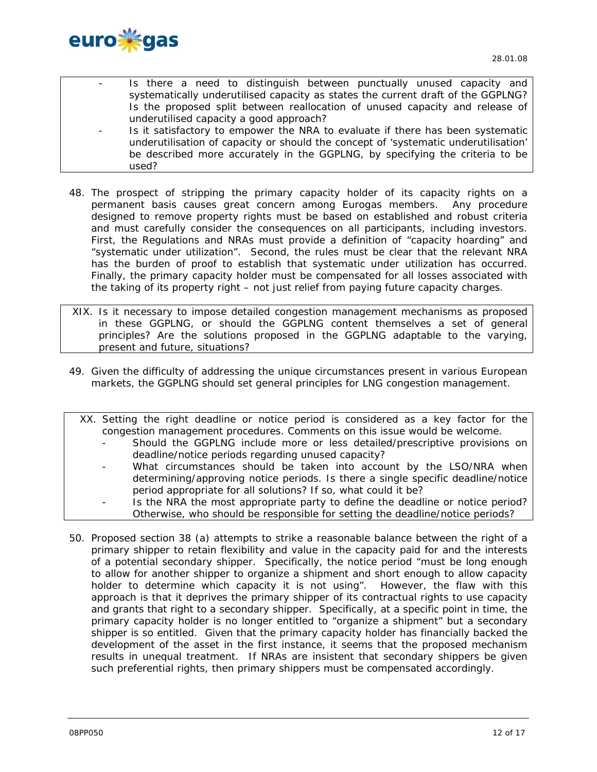

- Is there a need to distinguish between punctually unused capacity and systematically underutilised capacity as states the current draft of the GGPLNG? Is the proposed split between reallocation of unused capacity and release of underutilised capacity a good approach?
- Is it satisfactory to empower the NRA to evaluate if there has been systematic underutilisation of capacity or should the concept of 'systematic underutilisation' be described more accurately in the GGPLNG, by specifying the criteria to be used?
- 48. The prospect of stripping the primary capacity holder of its capacity rights on a permanent basis causes great concern among Eurogas members. Any procedure designed to remove property rights must be based on established and robust criteria and must carefully consider the consequences on all participants, including investors. First, the Regulations and NRAs must provide a definition of "capacity hoarding" and "systematic under utilization". Second, the rules must be clear that the relevant NRA has the burden of proof to establish that systematic under utilization has occurred. Finally, the primary capacity holder must be compensated for all losses associated with the taking of its property right – not just relief from paying future capacity charges.
- XIX. Is it necessary to impose detailed congestion management mechanisms as proposed in these GGPLNG, or should the GGPLNG content themselves a set of general principles? Are the solutions proposed in the GGPLNG adaptable to the varying, present and future, situations?
- 49. Given the difficulty of addressing the unique circumstances present in various European markets, the GGPLNG should set general principles for LNG congestion management.

| XX. Setting the right deadline or notice period is considered as a key factor for the |
|---------------------------------------------------------------------------------------|
| congestion management procedures. Comments on this issue would be welcome.            |
| Should the GGPLNG include more or less detailed/prescriptive provisions on            |
| deadline/notice periods regarding unused capacity?                                    |
| What circumstances should be taken into account by the LSO/NRA when                   |
| determining/approving notice periods. Is there a single specific deadline/notice      |
| period appropriate for all solutions? If so, what could it be?                        |
| Is the NRA the most appropriate party to define the deadline or notice period?        |
| Otherwise, who should be responsible for setting the deadline/notice periods?         |

50. Proposed section 38 (a) attempts to strike a reasonable balance between the right of a primary shipper to retain flexibility and value in the capacity paid for and the interests of a potential secondary shipper. Specifically, the notice period "must be long enough to allow for another shipper to organize a shipment and short enough to allow capacity holder to determine which capacity it is not using". However, the flaw with this approach is that it deprives the primary shipper of its contractual rights to use capacity and grants that right to a secondary shipper. Specifically, at a specific point in time, the primary capacity holder is no longer entitled to "organize a shipment" but a secondary shipper is so entitled. Given that the primary capacity holder has financially backed the development of the asset in the first instance, it seems that the proposed mechanism results in unequal treatment. If NRAs are insistent that secondary shippers be given such preferential rights, then primary shippers must be compensated accordingly.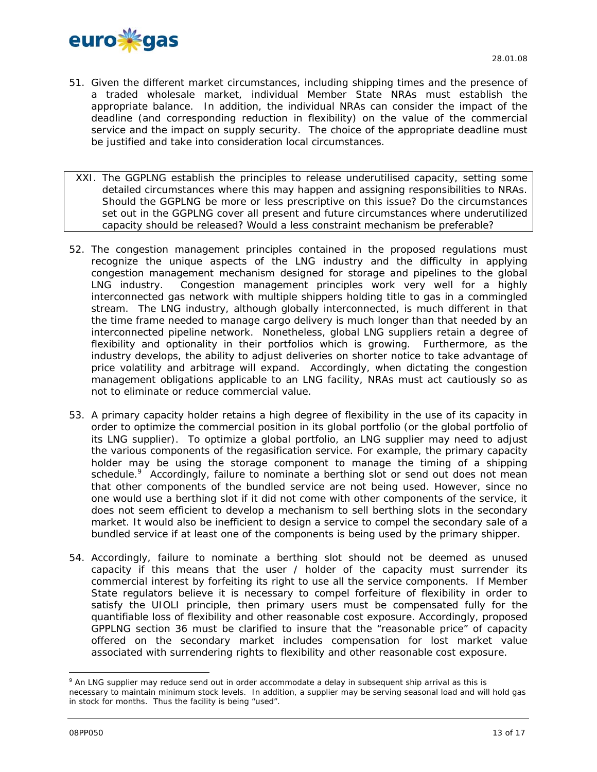

- 51. Given the different market circumstances, including shipping times and the presence of a traded wholesale market, individual Member State NRAs must establish the appropriate balance. In addition, the individual NRAs can consider the impact of the deadline (and corresponding reduction in flexibility) on the value of the commercial service and the impact on supply security. The choice of the appropriate deadline must be justified and take into consideration local circumstances.
- XXI. The GGPLNG establish the principles to release underutilised capacity, setting some detailed circumstances where this may happen and assigning responsibilities to NRAs. Should the GGPLNG be more or less prescriptive on this issue? Do the circumstances set out in the GGPLNG cover all present and future circumstances where underutilized capacity should be released? Would a less constraint mechanism be preferable?
- 52. The congestion management principles contained in the proposed regulations must recognize the unique aspects of the LNG industry and the difficulty in applying congestion management mechanism designed for storage and pipelines to the global LNG industry. Congestion management principles work very well for a highly interconnected gas network with multiple shippers holding title to gas in a commingled stream. The LNG industry, although globally interconnected, is much different in that the time frame needed to manage cargo delivery is much longer than that needed by an interconnected pipeline network. Nonetheless, global LNG suppliers retain a degree of flexibility and optionality in their portfolios which is growing. Furthermore, as the industry develops, the ability to adjust deliveries on shorter notice to take advantage of price volatility and arbitrage will expand. Accordingly, when dictating the congestion management obligations applicable to an LNG facility, NRAs must act cautiously so as not to eliminate or reduce commercial value.
- 53. A primary capacity holder retains a high degree of flexibility in the use of its capacity in order to optimize the commercial position in its global portfolio (or the global portfolio of its LNG supplier). To optimize a global portfolio, an LNG supplier may need to adjust the various components of the regasification service. For example, the primary capacity holder may be using the storage component to manage the timing of a shipping schedule.<sup>9</sup> Accordingly, failure to nominate a berthing slot or send out does not mean that other components of the bundled service are not being used. However, since no one would use a berthing slot if it did not come with other components of the service, it does not seem efficient to develop a mechanism to sell berthing slots in the secondary market. It would also be inefficient to design a service to compel the secondary sale of a bundled service if at least one of the components is being used by the primary shipper.
- 54. Accordingly, failure to nominate a berthing slot should not be deemed as unused capacity if this means that the user / holder of the capacity must surrender its commercial interest by forfeiting its right to use all the service components. If Member State regulators believe it is necessary to compel forfeiture of flexibility in order to satisfy the UIOLI principle, then primary users must be compensated fully for the quantifiable loss of flexibility and other reasonable cost exposure. Accordingly, proposed GPPLNG section 36 must be clarified to insure that the "reasonable price" of capacity offered on the secondary market includes compensation for lost market value associated with surrendering rights to flexibility and other reasonable cost exposure.

<sup>&</sup>lt;sup>9</sup> An LNG supplier may reduce send out in order accommodate a delay in subsequent ship arrival as this is necessary to maintain minimum stock levels. In addition, a supplier may be serving seasonal load and will hold gas in stock for months. Thus the facility is being "used".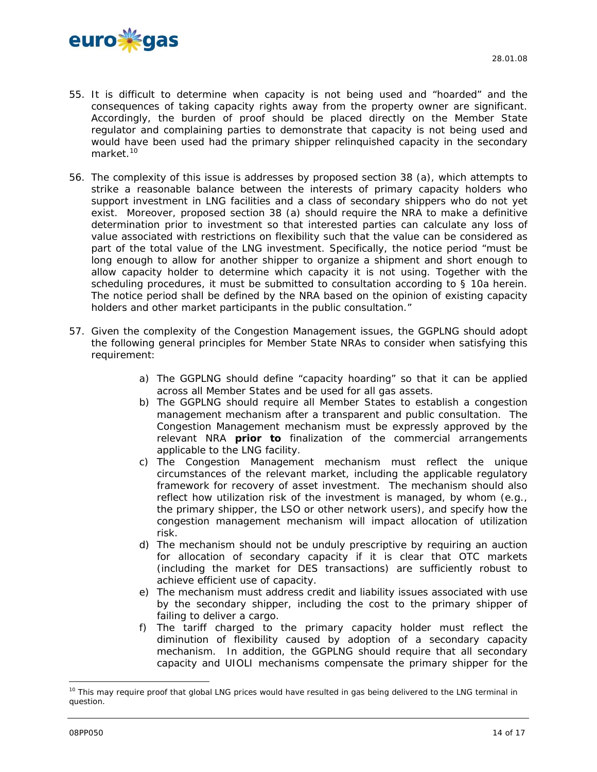

- 55. It is difficult to determine when capacity is not being used and "hoarded" and the consequences of taking capacity rights away from the property owner are significant. Accordingly, the burden of proof should be placed directly on the Member State regulator and complaining parties to demonstrate that capacity is not being used and would have been used had the primary shipper relinquished capacity in the secondary market.<sup>10</sup>
- 56. The complexity of this issue is addresses by proposed section 38 (a), which attempts to strike a reasonable balance between the interests of primary capacity holders who support investment in LNG facilities and a class of secondary shippers who do not yet exist. Moreover, proposed section 38 (a) should require the NRA to make a definitive determination prior to investment so that interested parties can calculate any loss of value associated with restrictions on flexibility such that the value can be considered as part of the total value of the LNG investment. Specifically, the notice period "must be long enough to allow for another shipper to organize a shipment and short enough to allow capacity holder to determine which capacity it is not using. Together with the scheduling procedures, it must be submitted to consultation according to § 10a herein. The notice period shall be defined by the NRA based on the opinion of existing capacity holders and other market participants in the public consultation."
- 57. Given the complexity of the Congestion Management issues, the GGPLNG should adopt the following general principles for Member State NRAs to consider when satisfying this requirement:
	- a) The GGPLNG should define "capacity hoarding" so that it can be applied across all Member States and be used for all gas assets.
	- b) The GGPLNG should require all Member States to establish a congestion management mechanism after a transparent and public consultation. The Congestion Management mechanism must be expressly approved by the relevant NRA *prior to* finalization of the commercial arrangements applicable to the LNG facility.
	- c) The Congestion Management mechanism must reflect the unique circumstances of the relevant market, including the applicable regulatory framework for recovery of asset investment. The mechanism should also reflect how utilization risk of the investment is managed, by whom (e.g., the primary shipper, the LSO or other network users), and specify how the congestion management mechanism will impact allocation of utilization risk.
	- d) The mechanism should not be unduly prescriptive by requiring an auction for allocation of secondary capacity if it is clear that OTC markets (including the market for DES transactions) are sufficiently robust to achieve efficient use of capacity.
	- e) The mechanism must address credit and liability issues associated with use by the secondary shipper, including the cost to the primary shipper of failing to deliver a cargo.
	- f) The tariff charged to the primary capacity holder must reflect the diminution of flexibility caused by adoption of a secondary capacity mechanism. In addition, the GGPLNG should require that all secondary capacity and UIOLI mechanisms compensate the primary shipper for the

<sup>&</sup>lt;sup>10</sup> This may require proof that global LNG prices would have resulted in gas being delivered to the LNG terminal in question.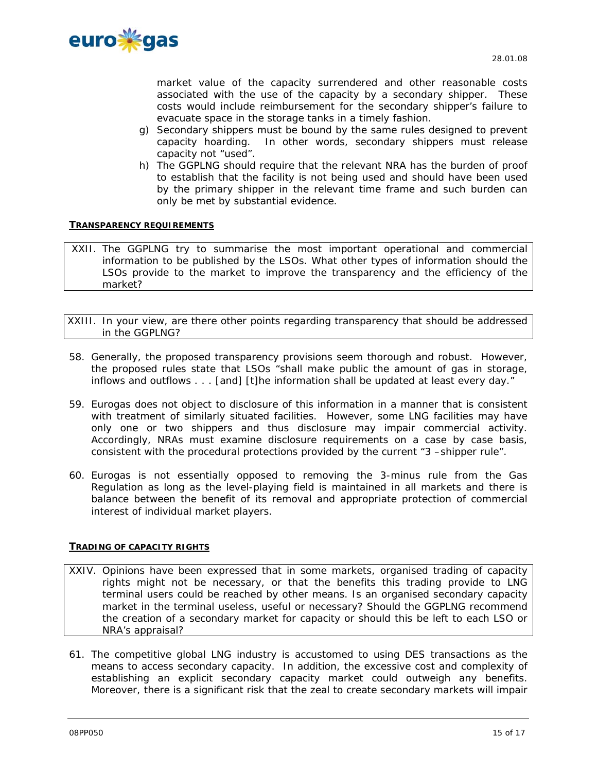

market value of the capacity surrendered and other reasonable costs associated with the use of the capacity by a secondary shipper. These costs would include reimbursement for the secondary shipper's failure to evacuate space in the storage tanks in a timely fashion.

- g) Secondary shippers must be bound by the same rules designed to prevent capacity hoarding. In other words, secondary shippers must release capacity not "used".
- h) The GGPLNG should require that the relevant NRA has the burden of proof to establish that the facility is not being used and should have been used by the primary shipper in the relevant time frame and such burden can only be met by substantial evidence.

# **TRANSPARENCY REQUIREMENTS**

XXII. The GGPLNG try to summarise the most important operational and commercial information to be published by the LSOs. What other types of information should the LSOs provide to the market to improve the transparency and the efficiency of the market?

XXIII. In your view, are there other points regarding transparency that should be addressed in the GGPLNG?

- 58. Generally, the proposed transparency provisions seem thorough and robust. However, the proposed rules state that LSOs "shall make public the amount of gas in storage, inflows and outflows . . . [and] [t]he information shall be updated at least every day."
- 59. Eurogas does not object to disclosure of this information in a manner that is consistent with treatment of similarly situated facilities. However, some LNG facilities may have only one or two shippers and thus disclosure may impair commercial activity. Accordingly, NRAs must examine disclosure requirements on a case by case basis, consistent with the procedural protections provided by the current "3 –shipper rule".
- 60. Eurogas is not essentially opposed to removing the 3-minus rule from the Gas Regulation as long as the level-playing field is maintained in all markets and there is balance between the benefit of its removal and appropriate protection of commercial interest of individual market players.

# **TRADING OF CAPACITY RIGHTS**

- XXIV. Opinions have been expressed that in some markets, organised trading of capacity rights might not be necessary, or that the benefits this trading provide to LNG terminal users could be reached by other means. Is an organised secondary capacity market in the terminal useless, useful or necessary? Should the GGPLNG recommend the creation of a secondary market for capacity or should this be left to each LSO or NRA's appraisal?
- 61. The competitive global LNG industry is accustomed to using DES transactions as the means to access secondary capacity. In addition, the excessive cost and complexity of establishing an explicit secondary capacity market could outweigh any benefits. Moreover, there is a significant risk that the zeal to create secondary markets will impair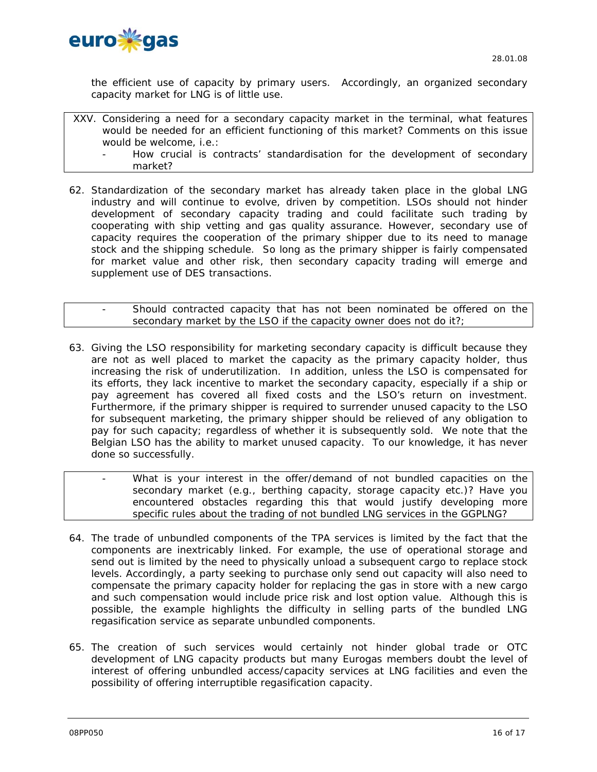

the efficient use of capacity by primary users. Accordingly, an organized secondary capacity market for LNG is of little use.

XXV. Considering a need for a secondary capacity market in the terminal, what features would be needed for an efficient functioning of this market? Comments on this issue would be welcome, i.e.:

- How crucial is contracts' standardisation for the development of secondary market?

62. Standardization of the secondary market has already taken place in the global LNG industry and will continue to evolve, driven by competition. LSOs should not hinder development of secondary capacity trading and could facilitate such trading by cooperating with ship vetting and gas quality assurance. However, secondary use of capacity requires the cooperation of the primary shipper due to its need to manage stock and the shipping schedule. So long as the primary shipper is fairly compensated for market value and other risk, then secondary capacity trading will emerge and supplement use of DES transactions.

Should contracted capacity that has not been nominated be offered on the secondary market by the LSO if the capacity owner does not do it?;

- 63. Giving the LSO responsibility for marketing secondary capacity is difficult because they are not as well placed to market the capacity as the primary capacity holder, thus increasing the risk of underutilization. In addition, unless the LSO is compensated for its efforts, they lack incentive to market the secondary capacity, especially if a ship or pay agreement has covered all fixed costs and the LSO's return on investment. Furthermore, if the primary shipper is required to surrender unused capacity to the LSO for subsequent marketing, the primary shipper should be relieved of any obligation to pay for such capacity; regardless of whether it is subsequently sold. We note that the Belgian LSO has the ability to market unused capacity. To our knowledge, it has never done so successfully.
- What is your interest in the offer/demand of not bundled capacities on the secondary market (e.g., berthing capacity, storage capacity etc.)? Have you encountered obstacles regarding this that would justify developing more specific rules about the trading of not bundled LNG services in the GGPLNG?
- 64. The trade of unbundled components of the TPA services is limited by the fact that the components are inextricably linked. For example, the use of operational storage and send out is limited by the need to physically unload a subsequent cargo to replace stock levels. Accordingly, a party seeking to purchase only send out capacity will also need to compensate the primary capacity holder for replacing the gas in store with a new cargo and such compensation would include price risk and lost option value. Although this is possible, the example highlights the difficulty in selling parts of the bundled LNG regasification service as separate unbundled components.
- 65. The creation of such services would certainly not hinder global trade or OTC development of LNG capacity products but many Eurogas members doubt the level of interest of offering unbundled access/capacity services at LNG facilities and even the possibility of offering interruptible regasification capacity.